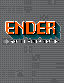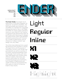

.......................................

**The Ender family** first began as an exploration of the MICR (magnetic ink character recognition) aesthetic. The MICR technology was invented in the mid-1950s as a standard for negotiable banking documents, then in the 1960s and 1970s its unique organic geometry construct was mined for the creation of typefaces like Westminster, Data 70 and Amelia, which became go-to designs for science fiction culture.That aesthetic remained synonymous with futurism for a couple of generations, and its influence on today's modular type design runs very deep.

The initial study ballooned into a great big adventure and resulted in a series of original fonts with thousands of characters, arrows, icons, border and grid elements as well as a variety of chromatic stacking possibilities. Each of the Ender fonts comes with more than 2000 glyphs and contains many different stylistic alternates sets, some of which allow for intricate ornamental background treatments. Such breadth of applications and wealth of features necessitated this user guide, so read on to discover Ender's many facets.

# Light Regular Inline







Highlight Highlight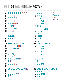### **FIT FI GLANCE ENDER**

.......................................

A AAAAAAAD A  $\mathbf{B}$ C  $\mathbf D$ E F F F F F G GGGGG H HHH I J K HKK L  $M$   $M$   $\Pi$   $\Pi$   $\Pi$   $\Pi$   $M$   $M$   $M$   $M$ N O OOOOOO P PPP  $\Box$ R S SSSSSSS T U UUUUU U U LU LU W W W W W W W W W X XXXX Y YYYYYY Z ZZ **BBBB CCCCC** DDDD E E E E E E I J J J J J LL NNNNNNN **QQQQ RARCH TT** 

a a a a b b b b c c c c c d d d d d e e e e e e f f f f g h i j k l m mmmmmm n nnnn o o o o o p p p p q q q q r r r r s s s s s t t u u u u u v v v w wwwwwwwww x x x x x y y y y y y z z z g ggggg h h h i i i j j j j k k k l l **DEFAULTS TYLISTIC TERNATES NICASE MAGNETIC** CAPS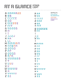### **AT A GLANCE ENDER**

.......................................

A AAAAAAD B BB C C C C CC D D D E EEEEEE F FF F G G G G GG H H I I J J J J J J K HK L L L M M M M M M N O O O O O P PP  $\Box$ R ALA S S S S S S SS T U UUU V V W W W W W X X Y Y Y Y Y Y Z ZZ a a a b b b c c cc c d d d d e e e f f f f g g g g g g g h i j k k k l m m m m n n n o o o p p p q q q r r r s s s t t u u u v v w w w w w x x y y y y z z z h h j j **DOMN** Q Q Q Q T

**DEFAULTS STYLISTIC ALTERNATES NICASE MAGNETIC** CAPS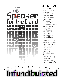

 $N$ CHRO  $\overline{M}$  $\overline{O}$  $\mathsf{\Gamma}$ A  $\mathsf S$  $\bm{\tau}$  $\Gamma$ fundibulated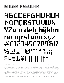## ENDER REGULAR

# ABCDEFGHIJKLM NOPQRSTUVWX YZabcdefghijklm nopqrstuvwxyz #0123456789&!?  $\%$ @@®@TM\*66 ?? \$¢€£¥(){}[]†‡

.......................................

SUPPORTED LANGUAGES • Afrikaans • Albanian • Asu • Basque • Bemba • Bena • Bosnian • Catalan • Cebuano • Chiga • Colognian • Cornish • Corsican • Croatian • Czech • Danish • Embu • English • Esperanto • Estonian • Faroese • Filipino • Finnish • French • Friulian • Galician • Ganda • German • Gusii • Hungarian • Icelandic • Ido • Inari Sami • Indonesian • Interlingua • Irish • Italian • Javanese • Jju • Jola-Fonyi • Kabuverdianu • Kalaallisut • Kalenjin • Kamba • Kikuyu • Kinyarwanda • Kurdish • Latvian • Lithuanian • Lojban • Low German • Lower Sorbian • Luo • Luxembourgish • Luyia • Machame • Makhuwa-Meetto • Makonde • Malagasy • Malay • Maltese • Manx • Māori • Mauritian • Meru • North Ndebele • Northern Sami • Northern Sotho • Norwegian Bokmål • Norwegian Nynorsk • Nyanja • Nyankole • Occitan • Oromo • Polish • Portuguese • Romanian • Romansh • Rombo • Rundi • Rwa • Samburu • Sango • Sangu • Sardinian • Scottish Gaelic • Sena • Shambala • Shona • Slovak • Slovenian

• Soga • Somali • South Ndebele • Southern Sotho • Spanish • Sundanese • Swahili • Swati • Swedish • Swiss German • Taita • Taroko • Teso • Tsonga • Tswana • Turkmen • Upper Sorbian • Vunjo • Walloon • Walser • Welsh • Wolof • Xhosa • Zulu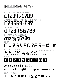#### ....................................... FIGURES ENDER

0123456789 DEFAULT PROPORTIONAL LINING

69.257 ALTERNATE SQUARE AND BALL END FIGURES

TABULAR LINING

0123456789

#### 0123456789 PROPORTIONAL OLDSTYI F 0123456789⑉⑆⑇⑈ MICR

DEFAULT FRACTIONS Set any number followed by a

½⅓⅔¼¾⅛⅝⅞

slash followed by any number and the feature will build proper fractions:  $123/456 \div 123/456$ 

123956789 BOXED

SUPERSCRIPT, SUBSCRIPT, NUMERATORS, DENOMINATORS, SUPERIORS AND INFERIORS

#### ₀₁₂₃₄₅₆₇₈₉₍₎₊₋₌ abcdefghijklnopqrstuvwxyz

+−×÷=≠<>≤≥±≈¬~ MATH SYMBOLS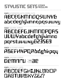## **REDEFGHIJKLMNOP** ORSTUUUKYZF.!?

**SSO5 MAGNETIC CAPS** 

SSN4 UNIFASE FORMS DEMAMLI SQUARE DE

# ABEFHKPQAbdghkpqy

**SSO3 GLITCHED FORMS** 

## **ABCDEFGJHMNDPQRS** UVWYabcdefqhjklmno pgrstuvwxy623569

**SSO2 SQUARE FORMS** 

### **SSOI** ALTERNATES WITH MORE CUTS ABCEGKMNOQSWXY& abcdeghjkmnopgsuwxy

STYLISTIC SETS ENDER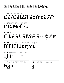#### STYLISTIC SETS THU TULU TULE TULE I THE HELL ARE THE THE TALL ARE THE THE TALL ARE THE THE TALL ARE THE TALL ARE THE TALL ARE THE TALL ARE THE TALL ARE THE TALL ARE THE TALL ARE THE TALL ARE THE TALL ARE THE TALL ARE THE TALL ARE THE TAL **ENDER** REGULAR

### SS06 BALL ENDINGS CEFGJLSTZcfrz257?

#### SS07 MORE BALL ENDINGS CGJScfrz

#### SS08 MICR 0123456789⑉ ⑆ ⑇ ⑈ # @ \$ -

#### **SS09** ALTERNATES FOR M N S W d g m w MNSWdgmw

SS10 ALTERNATES FOR J+l JJll Thick up to X-height

SS11 ALTERNATES FOR S g w

Sgw



SS12 ALTERNATES FOR g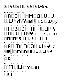#### STYLISTIC SETS ....................................... **ENDER** REGULAR

### **SS13 MIRRORED FORMS** ADDHHMMOOUUUV WWXXYYeeiijjoowwyy

MBINED WITH **SS02** SQUARE FORMS

## AABBDDMMNNOORR UUVVWWYYaaeejjmm nnoossuuvvwwyy

SS13 COMBINED WITH SSO1 ALTERNATES WITH MORE CUTS AAMMNNOOWWYYaa eejjmmnnssuuwwxx

SS13 COMBINED WITH SS03

**AR SS13 COMBINED WITH SSN9** 

MMWWmmww

**SS13 COMBINED WITH SS11** 

**WWW**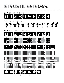#### STYLISTIC SETS ....................................... **ENDER** REGULAR

### SS14 BOXED NUMBERS 456789

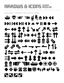### FIRCOUS & ICONS SOCA

AUAILABLE THROUGH THE GIYPHS PANEL

## $\oplus$   $\oplus$  IG  $\oplus$  III  $\oplus$   $\overline{\P}$   $\oplus$  DD 44  $II$  ( ) a  $\nabla$ そやましていくとくだ SLLAH+IIEM  $\frac{1}{2}$   $\frac{1}{2}$   $\frac{1}{2}$   $\frac{1}{2}$   $\frac{1}{2}$   $\frac{1}{2}$  $\Rightarrow$   $\rightarrow$   $\leftarrow$   $\uparrow$   $\downarrow$   $\uparrow$   $\uparrow$   $\rightarrow$   $\leftarrow$ I 400 O X H  $\blacklozenge$ YKZK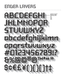## ENDER LAYERS

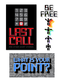



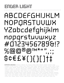#### ENDER LIGHT .......................................

# ABCDEFGHIJKLM NOPQRSTUVWX YZabcdefghijklm nopqrstuvwxyz #0123456789&!? %@@@®@TM\*" \$¢€£¥(){}[]†‡

SUPPORTED LANGUAGES • Afrikaans • Albanian • Asu • Basque • Bemba • Bena • Bosnian • Catalan • Cebuano • Chiga • Colognian • Cornish • Corsican • Croatian • Czech • Danish • Embu • English • Esperanto • Estonian • Faroese • Filipino • Finnish • French • Friulian • Galician • Ganda • German • Gusii • Hungarian • Icelandic • Ido • Inari Sami • Indonesian • Interlingua • Irish • Italian • Javanese • Jju • Jola-Fonyi • Kabuverdianu • Kalaallisut • Kalenjin • Kamba • Kikuyu • Kinyarwanda • Kurdish • Latvian • Lithuanian • Lojban • Low German • Lower Sorbian • Luo • Luxembourgish • Luyia • Machame • Makhuwa-Meetto • Makonde • Malagasy • Malay • Maltese • Manx • Māori • Mauritian • Meru • North Ndebele • Northern Sami • Northern Sotho • Norwegian Bokmål • Norwegian Nynorsk • Nyanja • Nyankole • Occitan • Oromo • Polish • Portuguese • Romanian • Romansh • Rombo • Rundi • Rwa • Samburu • Sango • Sangu • Sardinian • Scottish Gaelic • Sena • Shambala • Shona • Slovak • Slovenian • Soga • Somali • South Ndebele • Southern Sotho • Spanish • Sundanese • Swahili • Swati • Swedish • Swiss German • Taita

• Taroko • Teso • Tsonga • Tswana • Turkmen • Upper Sorbian • Vunjo • Walloon • Walser • Welsh • Wolof • Xhosa • Zulu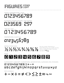+−×÷=≠<>≤≥±≈¬~

MATH SYMBOLS

#### ₀₁₂₃₄₅₆₇₈₉₍₎₊₋₌ abcdefghijklnopqrstuvwxyz

SUPERSCRIPT, SUBSCRIPT, NUMERATORS, DENOMINATORS, SUPERIORS AND INFERIORS

## 128456789

BOXED

½⅓⅔¼¾⅛⅝⅞ DEFAULT FRACTIONS Set any number followed by a

slash followed by any number and the feature will build proper fractions: 123∕456 ⇒<sup>123</sup>∕456

#### 0123456789 PROPORTIONAL OI DSTYLE

0123456789 TABULAR LINING

#### 023569 · 257 ALTERNATE SQUARE AND BALL END FIGURES

0123456789

DEFAULT PROPORTIONAL LINING

FIGURES ENDER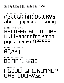### **SSO5 MAGNETIC CAPS** 1BCDEFGHIJKLMNOP **JASTUUWXYZE?**

SSN4 UNIFASE FORMS DEMMITU SSOR HE

### **SSO3 GLITCHED FORMS** АЦдну

**SSO2 SOUARE FORMS** ABCDEFGJHMNOPQAS UVWYabcdefghjkmno POPStuvwxy823569

### **SSO1** ALTERNATES WITH MORE CUTS ABCEGKMNOQSWXY& abcdeghjkmnopqsuwy

STYLISTIC SETS FORER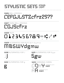#### STYLISTIC SETS THU TULUM AU DE ME DE LIGHT<br>A la composition de la composition de la composition de la composition de la composition de la composition de **ENDER** LIGHT

### SS06 BALL ENDINGS CEFGJLSTZcfrz257?

SS07 MORE BALL ENDINGS CGJScfrz

#### SS08 MICR 0123456789⑉ ⑆ ⑇ ⑈ # @ \$ -

**SS09** ALTERNATES FOR M N S W Y d g m w

MNSWYdgmw

**SS11** ALTERNATES FOR S g w

COMBINED WITH

SS01

SS10 ALTERNATES FOR J JJ

Sgw

COMBINED WITH

SS13 MIRRORED FORMS

SS03

OOYY

**AA** 

g

SS12 ALTERNATES FOR g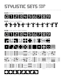#### STYLISTIC SETS ....................................... **ENDER** LIGHT

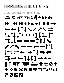### FIRCOUS & ICONS ENDER

AUAILABLE THROUGH THE GLYPHS PANEL

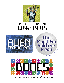

### LIKED BY MOM, DAD AND 3,842 BOTS

The

Man Who

Moon

 $ROBER<sup>1</sup>$ 

H E I

 $\prec$  $\checkmark$  $\zeta$ 





The only sure thing about luck is that it will change.